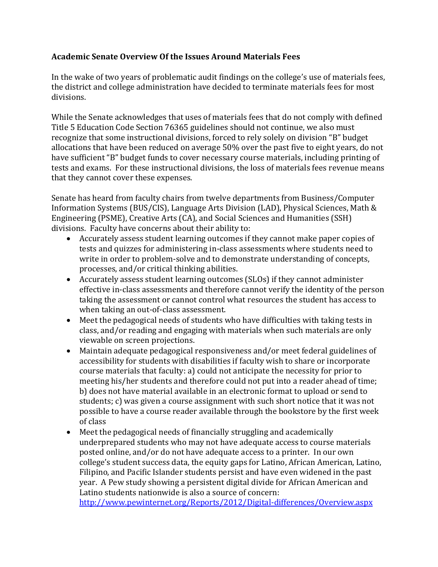## **Academic Senate Overview Of the Issues Around Materials Fees**

In the wake of two years of problematic audit findings on the college's use of materials fees, the district and college administration have decided to terminate materials fees for most divisions.

While the Senate acknowledges that uses of materials fees that do not comply with defined Title 5 Education Code Section 76365 guidelines should not continue, we also must recognize that some instructional divisions, forced to rely solely on division "B" budget allocations that have been reduced on average 50% over the past five to eight years, do not have sufficient "B" budget funds to cover necessary course materials, including printing of tests and exams. For these instructional divisions, the loss of materials fees revenue means that they cannot cover these expenses.

Senate has heard from faculty chairs from twelve departments from Business/Computer Information Systems (BUS/CIS), Language Arts Division (LAD), Physical Sciences, Math & Engineering (PSME), Creative Arts (CA), and Social Sciences and Humanities (SSH) divisions. Faculty have concerns about their ability to:

- Accurately assess student learning outcomes if they cannot make paper copies of tests and quizzes for administering in-class assessments where students need to write in order to problem-solve and to demonstrate understanding of concepts, processes, and/or critical thinking abilities.
- Accurately assess student learning outcomes (SLOs) if they cannot administer effective in-class assessments and therefore cannot verify the identity of the person taking the assessment or cannot control what resources the student has access to when taking an out-of-class assessment.
- Meet the pedagogical needs of students who have difficulties with taking tests in class, and/or reading and engaging with materials when such materials are only viewable on screen projections.
- Maintain adequate pedagogical responsiveness and/or meet federal guidelines of accessibility for students with disabilities if faculty wish to share or incorporate course materials that faculty: a) could not anticipate the necessity for prior to meeting his/her students and therefore could not put into a reader ahead of time; b) does not have material available in an electronic format to upload or send to students; c) was given a course assignment with such short notice that it was not possible to have a course reader available through the bookstore by the first week of class
- Meet the pedagogical needs of financially struggling and academically underprepared students who may not have adequate access to course materials posted online, and/or do not have adequate access to a printer. In our own college's student success data, the equity gaps for Latino, African American, Latino, Filipino, and Pacific Islander students persist and have even widened in the past year. A Pew study showing a persistent digital divide for African American and Latino students nationwide is also a source of concern:

<http://www.pewinternet.org/Reports/2012/Digital-differences/Overview.aspx>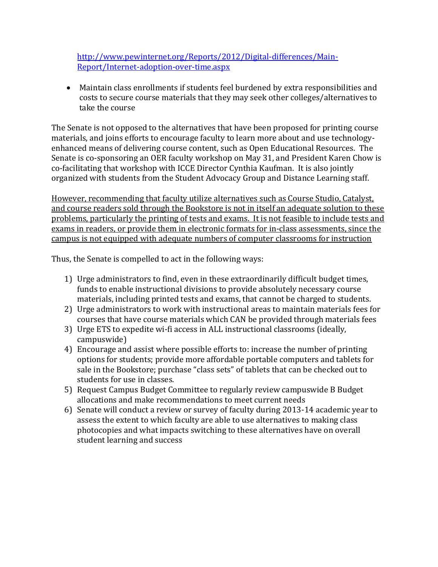[http://www.pewinternet.org/Reports/2012/Digital-differences/Main-](http://www.pewinternet.org/Reports/2012/Digital-differences/Main-Report/Internet-adoption-over-time.aspx)[Report/Internet-adoption-over-time.aspx](http://www.pewinternet.org/Reports/2012/Digital-differences/Main-Report/Internet-adoption-over-time.aspx)

 Maintain class enrollments if students feel burdened by extra responsibilities and costs to secure course materials that they may seek other colleges/alternatives to take the course

The Senate is not opposed to the alternatives that have been proposed for printing course materials, and joins efforts to encourage faculty to learn more about and use technologyenhanced means of delivering course content, such as Open Educational Resources. The Senate is co-sponsoring an OER faculty workshop on May 31, and President Karen Chow is co-facilitating that workshop with ICCE Director Cynthia Kaufman. It is also jointly organized with students from the Student Advocacy Group and Distance Learning staff.

However, recommending that faculty utilize alternatives such as Course Studio, Catalyst, and course readers sold through the Bookstore is not in itself an adequate solution to these problems, particularly the printing of tests and exams. It is not feasible to include tests and exams in readers, or provide them in electronic formats for in-class assessments, since the campus is not equipped with adequate numbers of computer classrooms for instruction

Thus, the Senate is compelled to act in the following ways:

- 1) Urge administrators to find, even in these extraordinarily difficult budget times, funds to enable instructional divisions to provide absolutely necessary course materials, including printed tests and exams, that cannot be charged to students.
- 2) Urge administrators to work with instructional areas to maintain materials fees for courses that have course materials which CAN be provided through materials fees
- 3) Urge ETS to expedite wi-fi access in ALL instructional classrooms (ideally, campuswide)
- 4) Encourage and assist where possible efforts to: increase the number of printing options for students; provide more affordable portable computers and tablets for sale in the Bookstore; purchase "class sets" of tablets that can be checked out to students for use in classes.
- 5) Request Campus Budget Committee to regularly review campuswide B Budget allocations and make recommendations to meet current needs
- 6) Senate will conduct a review or survey of faculty during 2013-14 academic year to assess the extent to which faculty are able to use alternatives to making class photocopies and what impacts switching to these alternatives have on overall student learning and success